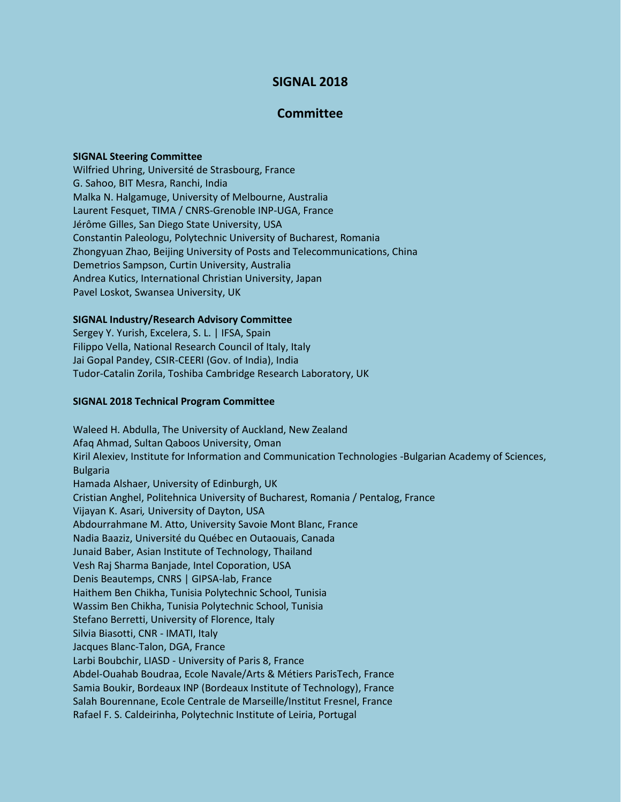# **SIGNAL 2018**

## **Committee**

#### **SIGNAL Steering Committee**

Wilfried Uhring, Université de Strasbourg, France G. Sahoo, BIT Mesra, Ranchi, India Malka N. Halgamuge, University of Melbourne, Australia Laurent Fesquet, TIMA / CNRS-Grenoble INP-UGA, France Jérôme Gilles, San Diego State University, USA Constantin Paleologu, Polytechnic University of Bucharest, Romania Zhongyuan Zhao, Beijing University of Posts and Telecommunications, China Demetrios Sampson, Curtin University, Australia Andrea Kutics, International Christian University, Japan Pavel Loskot, Swansea University, UK

### **SIGNAL Industry/Research Advisory Committee**

Sergey Y. Yurish, Excelera, S. L. | IFSA, Spain Filippo Vella, National Research Council of Italy, Italy Jai Gopal Pandey, CSIR-CEERI (Gov. of India), India Tudor-Catalin Zorila, Toshiba Cambridge Research Laboratory, UK

#### **SIGNAL 2018 Technical Program Committee**

Waleed H. Abdulla, The University of Auckland, New Zealand Afaq Ahmad, Sultan Qaboos University, Oman Kiril Alexiev, Institute for Information and Communication Technologies -Bulgarian Academy of Sciences, Bulgaria Hamada Alshaer, University of Edinburgh, UK Cristian Anghel, Politehnica University of Bucharest, Romania / Pentalog, France Vijayan K. Asari*,* University of Dayton, USA Abdourrahmane M. Atto, University Savoie Mont Blanc, France Nadia Baaziz, Université du Québec en Outaouais, Canada Junaid Baber, Asian Institute of Technology, Thailand Vesh Raj Sharma Banjade, Intel Coporation, USA Denis Beautemps, CNRS | GIPSA-lab, France Haithem Ben Chikha, Tunisia Polytechnic School, Tunisia Wassim Ben Chikha, Tunisia Polytechnic School, Tunisia Stefano Berretti, University of Florence, Italy Silvia Biasotti, CNR - IMATI, Italy Jacques Blanc-Talon, DGA, France Larbi Boubchir, LIASD - University of Paris 8, France Abdel-Ouahab Boudraa, Ecole Navale/Arts & Métiers ParisTech, France Samia Boukir, Bordeaux INP (Bordeaux Institute of Technology), France Salah Bourennane, Ecole Centrale de Marseille/Institut Fresnel, France Rafael F. S. Caldeirinha, Polytechnic Institute of Leiria, Portugal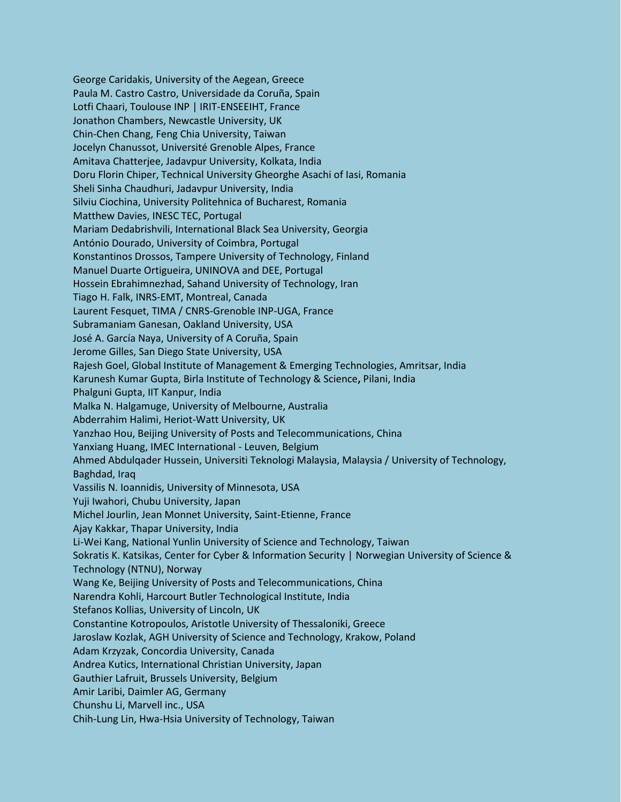George Caridakis, University of the Aegean, Greece Paula M. Castro Castro, Universidade da Coruña, Spain Lotfi Chaari, Toulouse INP | IRIT-ENSEEIHT, France Jonathon Chambers, Newcastle University, UK Chin-Chen Chang, Feng Chia University, Taiwan Jocelyn Chanussot, Université Grenoble Alpes, France Amitava Chatterjee, Jadavpur University, Kolkata, India Doru Florin Chiper, Technical University Gheorghe Asachi of Iasi, Romania Sheli Sinha Chaudhuri, Jadavpur University, India Silviu Ciochina, University Politehnica of Bucharest, Romania Matthew Davies, INESC TEC, Portugal Mariam Dedabrishvili, International Black Sea University, Georgia António Dourado, University of Coimbra, Portugal Konstantinos Drossos, Tampere University of Technology, Finland Manuel Duarte Ortigueira, UNINOVA and DEE, Portugal Hossein Ebrahimnezhad, Sahand University of Technology, Iran Tiago H. Falk, INRS-EMT, Montreal, Canada Laurent Fesquet, TIMA / CNRS-Grenoble INP-UGA, France Subramaniam Ganesan, Oakland University, USA José A. García Naya, University of A Coruña, Spain Jerome Gilles, San Diego State University, USA Rajesh Goel, Global Institute of Management & Emerging Technologies, Amritsar, India Karunesh Kumar Gupta, Birla Institute of Technology & Science**,** Pilani, India Phalguni Gupta, IIT Kanpur, India Malka N. Halgamuge, University of Melbourne, Australia Abderrahim Halimi, Heriot-Watt University, UK Yanzhao Hou, Beijing University of Posts and Telecommunications, China Yanxiang Huang, IMEC International - Leuven, Belgium Ahmed Abdulqader Hussein, Universiti Teknologi Malaysia, Malaysia / University of Technology, Baghdad, Iraq Vassilis N. Ioannidis, University of Minnesota, USA Yuji Iwahori, Chubu University, Japan Michel Jourlin, Jean Monnet University, Saint-Etienne, France Ajay Kakkar, Thapar University, India Li-Wei Kang, National Yunlin University of Science and Technology, Taiwan Sokratis K. Katsikas, Center for Cyber & Information Security | Norwegian University of Science & Technology (NTNU), Norway Wang Ke, Beijing University of Posts and Telecommunications, China Narendra Kohli, Harcourt Butler Technological Institute, India Stefanos Kollias, University of Lincoln, UK Constantine Kotropoulos, Aristotle University of Thessaloniki, Greece Jaroslaw Kozlak, AGH University of Science and Technology, Krakow, Poland Adam Krzyzak, Concordia University, Canada Andrea Kutics, International Christian University, Japan Gauthier Lafruit, Brussels University, Belgium Amir Laribi, Daimler AG, Germany Chunshu Li, Marvell inc., USA Chih-Lung Lin, Hwa-Hsia University of Technology, Taiwan